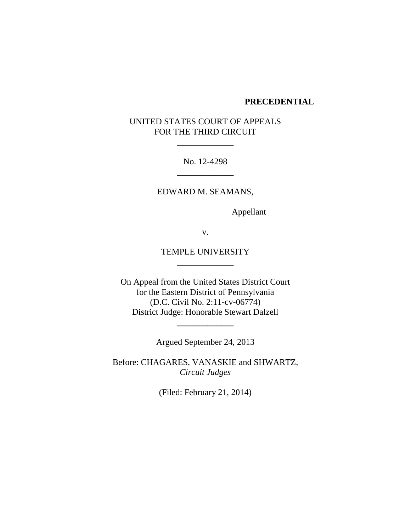#### **PRECEDENTIAL**

# UNITED STATES COURT OF APPEALS FOR THE THIRD CIRCUIT

**\_\_\_\_\_\_\_\_\_\_\_\_\_**

No. 12-4298 **\_\_\_\_\_\_\_\_\_\_\_\_\_**

EDWARD M. SEAMANS,

Appellant

v.

## TEMPLE UNIVERSITY **\_\_\_\_\_\_\_\_\_\_\_\_\_**

On Appeal from the United States District Court for the Eastern District of Pennsylvania (D.C. Civil No. 2:11-cv-06774) District Judge: Honorable Stewart Dalzell

Argued September 24, 2013

**\_\_\_\_\_\_\_\_\_\_\_\_\_**

Before: CHAGARES, VANASKIE and SHWARTZ, *Circuit Judges*

(Filed: February 21, 2014)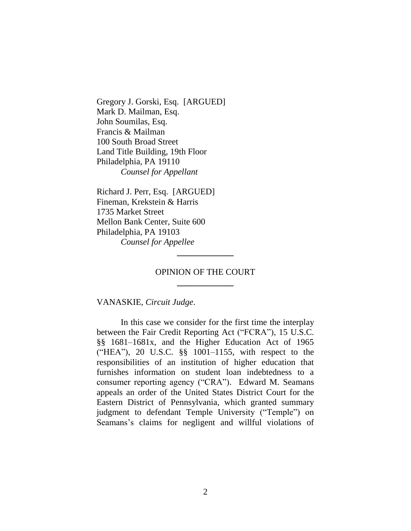Gregory J. Gorski, Esq. [ARGUED] Mark D. Mailman, Esq. John Soumilas, Esq. Francis & Mailman 100 South Broad Street Land Title Building, 19th Floor Philadelphia, PA 19110 *Counsel for Appellant*

Richard J. Perr, Esq. [ARGUED] Fineman, Krekstein & Harris 1735 Market Street Mellon Bank Center, Suite 600 Philadelphia, PA 19103 *Counsel for Appellee*

## OPINION OF THE COURT **\_\_\_\_\_\_\_\_\_\_\_\_\_**

**\_\_\_\_\_\_\_\_\_\_\_\_\_**

VANASKIE, *Circuit Judge*.

In this case we consider for the first time the interplay between the Fair Credit Reporting Act ("FCRA"), 15 U.S.C. §§ 1681–1681x, and the Higher Education Act of 1965 ("HEA"), 20 U.S.C. §§ 1001–1155, with respect to the responsibilities of an institution of higher education that furnishes information on student loan indebtedness to a consumer reporting agency ("CRA"). Edward M. Seamans appeals an order of the United States District Court for the Eastern District of Pennsylvania, which granted summary judgment to defendant Temple University ("Temple") on Seamans's claims for negligent and willful violations of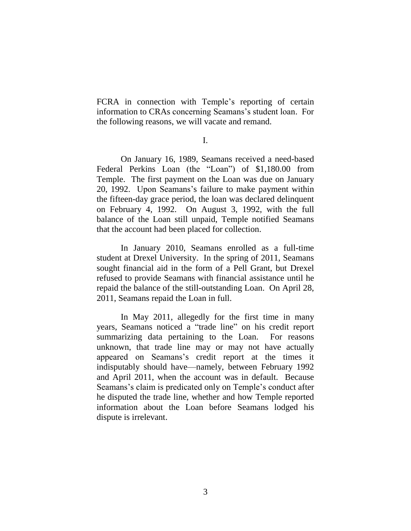FCRA in connection with Temple's reporting of certain information to CRAs concerning Seamans's student loan. For the following reasons, we will vacate and remand.

I.

On January 16, 1989, Seamans received a need-based Federal Perkins Loan (the "Loan") of \$1,180.00 from Temple. The first payment on the Loan was due on January 20, 1992. Upon Seamans's failure to make payment within the fifteen-day grace period, the loan was declared delinquent on February 4, 1992. On August 3, 1992, with the full balance of the Loan still unpaid, Temple notified Seamans that the account had been placed for collection.

In January 2010, Seamans enrolled as a full-time student at Drexel University. In the spring of 2011, Seamans sought financial aid in the form of a Pell Grant, but Drexel refused to provide Seamans with financial assistance until he repaid the balance of the still-outstanding Loan. On April 28, 2011, Seamans repaid the Loan in full.

In May 2011, allegedly for the first time in many years, Seamans noticed a "trade line" on his credit report summarizing data pertaining to the Loan. For reasons unknown, that trade line may or may not have actually appeared on Seamans's credit report at the times it indisputably should have—namely, between February 1992 and April 2011, when the account was in default. Because Seamans's claim is predicated only on Temple's conduct after he disputed the trade line, whether and how Temple reported information about the Loan before Seamans lodged his dispute is irrelevant.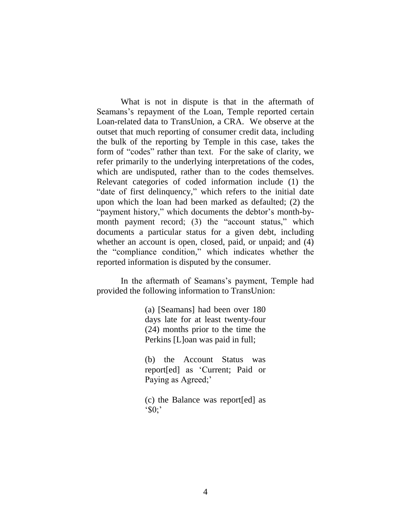What is not in dispute is that in the aftermath of Seamans's repayment of the Loan, Temple reported certain Loan-related data to TransUnion, a CRA. We observe at the outset that much reporting of consumer credit data, including the bulk of the reporting by Temple in this case, takes the form of "codes" rather than text. For the sake of clarity, we refer primarily to the underlying interpretations of the codes, which are undisputed, rather than to the codes themselves. Relevant categories of coded information include (1) the "date of first delinquency," which refers to the initial date upon which the loan had been marked as defaulted; (2) the "payment history," which documents the debtor's month-bymonth payment record; (3) the "account status," which documents a particular status for a given debt, including whether an account is open, closed, paid, or unpaid; and (4) the "compliance condition," which indicates whether the reported information is disputed by the consumer.

In the aftermath of Seamans's payment, Temple had provided the following information to TransUnion:

> (a) [Seamans] had been over 180 days late for at least twenty-four (24) months prior to the time the Perkins [L]oan was paid in full;

> (b) the Account Status was report[ed] as 'Current; Paid or Paying as Agreed;'

> (c) the Balance was report[ed] as  $^{\circ}$ \$0;'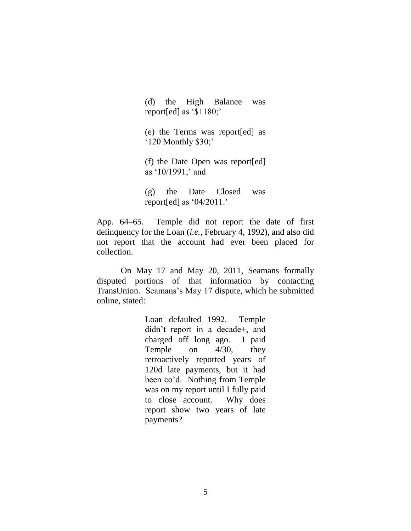(d) the High Balance was report[ed] as '\$1180;'

(e) the Terms was report[ed] as '120 Monthly \$30;'

(f) the Date Open was report[ed] as '10/1991;' and

(g) the Date Closed was report[ed] as  $04/2011$ .

App. 64–65. Temple did not report the date of first delinquency for the Loan (*i.e.*, February 4, 1992), and also did not report that the account had ever been placed for collection.

On May 17 and May 20, 2011, Seamans formally disputed portions of that information by contacting TransUnion. Seamans's May 17 dispute, which he submitted online, stated:

> Loan defaulted 1992. Temple didn't report in a decade+, and charged off long ago. I paid Temple on 4/30, they retroactively reported years of 120d late payments, but it had been co'd. Nothing from Temple was on my report until I fully paid to close account. Why does report show two years of late payments?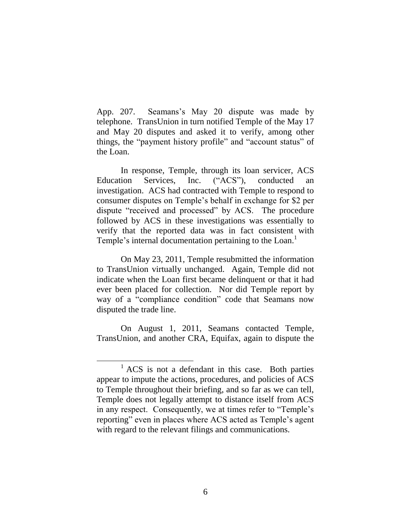App. 207. Seamans's May 20 dispute was made by telephone. TransUnion in turn notified Temple of the May 17 and May 20 disputes and asked it to verify, among other things, the "payment history profile" and "account status" of the Loan.

In response, Temple, through its loan servicer, ACS Education Services, Inc. ("ACS"), conducted an investigation. ACS had contracted with Temple to respond to consumer disputes on Temple's behalf in exchange for \$2 per dispute "received and processed" by ACS. The procedure followed by ACS in these investigations was essentially to verify that the reported data was in fact consistent with Temple's internal documentation pertaining to the Loan.<sup>1</sup>

On May 23, 2011, Temple resubmitted the information to TransUnion virtually unchanged. Again, Temple did not indicate when the Loan first became delinquent or that it had ever been placed for collection. Nor did Temple report by way of a "compliance condition" code that Seamans now disputed the trade line.

On August 1, 2011, Seamans contacted Temple, TransUnion, and another CRA, Equifax, again to dispute the

 $\overline{a}$ 

 $<sup>1</sup>$  ACS is not a defendant in this case. Both parties</sup> appear to impute the actions, procedures, and policies of ACS to Temple throughout their briefing, and so far as we can tell, Temple does not legally attempt to distance itself from ACS in any respect. Consequently, we at times refer to "Temple's reporting" even in places where ACS acted as Temple's agent with regard to the relevant filings and communications.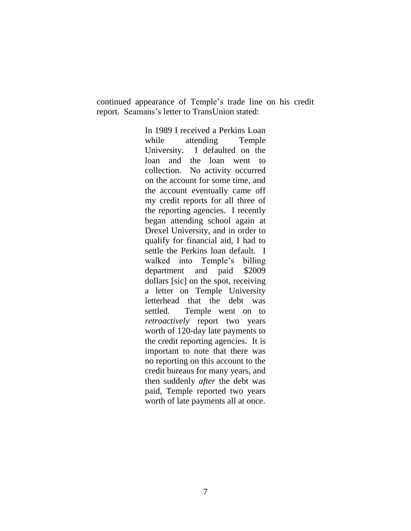continued appearance of Temple's trade line on his credit report. Seamans's letter to TransUnion stated:

> In 1989 I received a Perkins Loan while attending Temple University. I defaulted on the loan and the loan went to collection. No activity occurred on the account for some time, and the account eventually came off my credit reports for all three of the reporting agencies. I recently began attending school again at Drexel University, and in order to qualify for financial aid, I had to settle the Perkins loan default. I walked into Temple's billing department and paid \$2009 dollars [sic] on the spot, receiving a letter on Temple University letterhead that the debt was settled. Temple went on to *retroactively* report two years worth of 120-day late payments to the credit reporting agencies. It is important to note that there was no reporting on this account to the credit bureaus for many years, and then suddenly *after* the debt was paid, Temple reported two years worth of late payments all at once.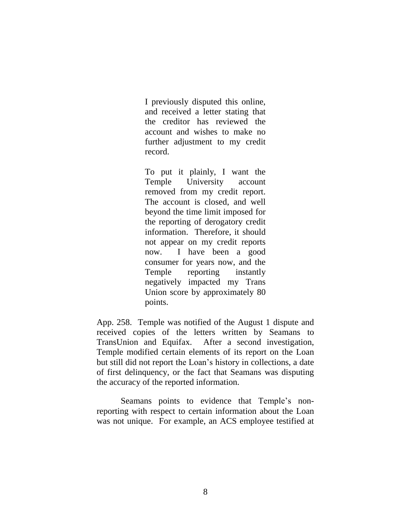I previously disputed this online, and received a letter stating that the creditor has reviewed the account and wishes to make no further adjustment to my credit record.

To put it plainly, I want the Temple University account removed from my credit report. The account is closed, and well beyond the time limit imposed for the reporting of derogatory credit information. Therefore, it should not appear on my credit reports now. I have been a good consumer for years now, and the Temple reporting instantly negatively impacted my Trans Union score by approximately 80 points.

App. 258. Temple was notified of the August 1 dispute and received copies of the letters written by Seamans to TransUnion and Equifax. After a second investigation, Temple modified certain elements of its report on the Loan but still did not report the Loan's history in collections, a date of first delinquency, or the fact that Seamans was disputing the accuracy of the reported information.

Seamans points to evidence that Temple's nonreporting with respect to certain information about the Loan was not unique. For example, an ACS employee testified at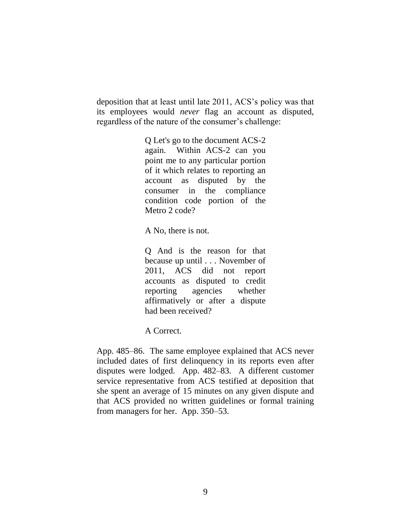deposition that at least until late 2011, ACS's policy was that its employees would *never* flag an account as disputed, regardless of the nature of the consumer's challenge:

> Q Let's go to the document ACS-2 again. Within ACS-2 can you point me to any particular portion of it which relates to reporting an account as disputed by the consumer in the compliance condition code portion of the Metro 2 code?

A No, there is not.

Q And is the reason for that because up until . . . November of 2011, ACS did not report accounts as disputed to credit reporting agencies whether affirmatively or after a dispute had been received?

A Correct.

App. 485–86. The same employee explained that ACS never included dates of first delinquency in its reports even after disputes were lodged. App. 482–83. A different customer service representative from ACS testified at deposition that she spent an average of 15 minutes on any given dispute and that ACS provided no written guidelines or formal training from managers for her. App. 350–53.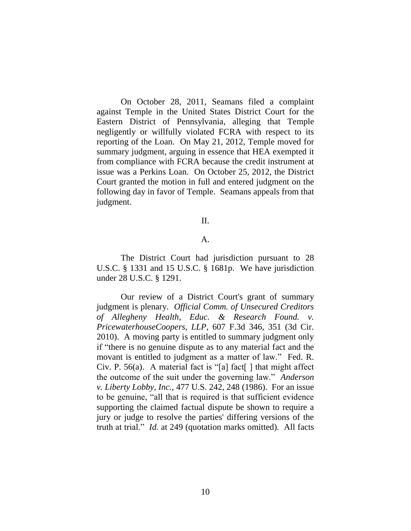On October 28, 2011, Seamans filed a complaint against Temple in the United States District Court for the Eastern District of Pennsylvania, alleging that Temple negligently or willfully violated FCRA with respect to its reporting of the Loan. On May 21, 2012, Temple moved for summary judgment, arguing in essence that HEA exempted it from compliance with FCRA because the credit instrument at issue was a Perkins Loan. On October 25, 2012, the District Court granted the motion in full and entered judgment on the following day in favor of Temple. Seamans appeals from that judgment.

#### II.

## A.

The District Court had jurisdiction pursuant to 28 U.S.C. § 1331 and 15 U.S.C. § 1681p. We have jurisdiction under 28 U.S.C. § 1291.

Our review of a District Court's grant of summary judgment is plenary. *Official Comm. of Unsecured Creditors of Allegheny Health, Educ. & Research Found. v. PricewaterhouseCoopers, LLP*, 607 F.3d 346, 351 (3d Cir. 2010). A moving party is entitled to summary judgment only if "there is no genuine dispute as to any material fact and the movant is entitled to judgment as a matter of law." Fed. R. Civ. P. 56(a). A material fact is "[a] fact[] that might affect the outcome of the suit under the governing law." *Anderson v. Liberty Lobby, Inc.*, 477 U.S. 242, 248 (1986). For an issue to be genuine, "all that is required is that sufficient evidence supporting the claimed factual dispute be shown to require a jury or judge to resolve the parties' differing versions of the truth at trial." *Id.* at 249 (quotation marks omitted). All facts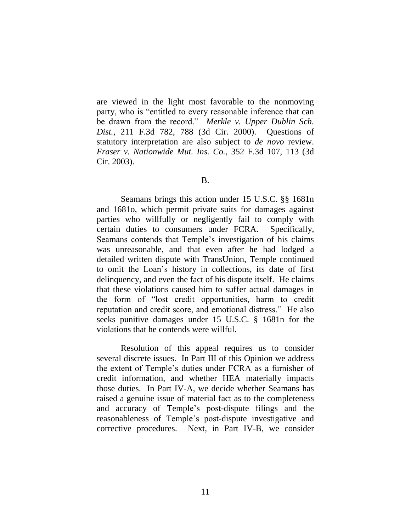are viewed in the light most favorable to the nonmoving party, who is "entitled to every reasonable inference that can be drawn from the record." *Merkle v. Upper Dublin Sch. Dist.*, 211 F.3d 782, 788 (3d Cir. 2000). Questions of statutory interpretation are also subject to *de novo* review. *Fraser v. Nationwide Mut. Ins. Co.*, 352 F.3d 107, 113 (3d Cir. 2003).

#### B.

Seamans brings this action under 15 U.S.C. §§ 1681n and 1681o, which permit private suits for damages against parties who willfully or negligently fail to comply with certain duties to consumers under FCRA. Specifically, Seamans contends that Temple's investigation of his claims was unreasonable, and that even after he had lodged a detailed written dispute with TransUnion, Temple continued to omit the Loan's history in collections, its date of first delinquency, and even the fact of his dispute itself. He claims that these violations caused him to suffer actual damages in the form of "lost credit opportunities, harm to credit reputation and credit score, and emotional distress." He also seeks punitive damages under 15 U.S.C. § 1681n for the violations that he contends were willful.

Resolution of this appeal requires us to consider several discrete issues. In Part III of this Opinion we address the extent of Temple's duties under FCRA as a furnisher of credit information, and whether HEA materially impacts those duties. In Part IV-A, we decide whether Seamans has raised a genuine issue of material fact as to the completeness and accuracy of Temple's post-dispute filings and the reasonableness of Temple's post-dispute investigative and corrective procedures. Next, in Part IV-B, we consider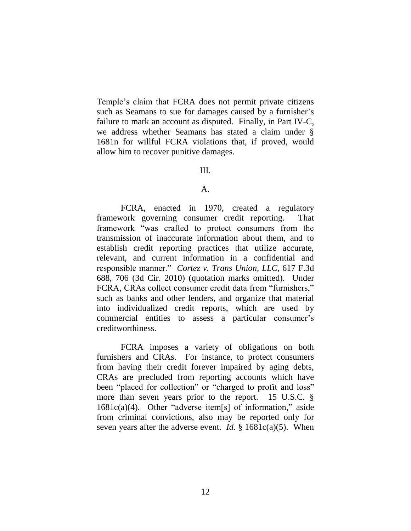Temple's claim that FCRA does not permit private citizens such as Seamans to sue for damages caused by a furnisher's failure to mark an account as disputed. Finally, in Part IV-C, we address whether Seamans has stated a claim under § 1681n for willful FCRA violations that, if proved, would allow him to recover punitive damages.

#### III.

#### A.

FCRA, enacted in 1970, created a regulatory framework governing consumer credit reporting. That framework "was crafted to protect consumers from the transmission of inaccurate information about them, and to establish credit reporting practices that utilize accurate, relevant, and current information in a confidential and responsible manner." *Cortez v. Trans Union, LLC*, 617 F.3d 688, 706 (3d Cir. 2010) (quotation marks omitted). Under FCRA, CRAs collect consumer credit data from "furnishers," such as banks and other lenders, and organize that material into individualized credit reports, which are used by commercial entities to assess a particular consumer's creditworthiness.

FCRA imposes a variety of obligations on both furnishers and CRAs. For instance, to protect consumers from having their credit forever impaired by aging debts, CRAs are precluded from reporting accounts which have been "placed for collection" or "charged to profit and loss" more than seven years prior to the report. 15 U.S.C. § 1681c(a)(4). Other "adverse item[s] of information," aside from criminal convictions, also may be reported only for seven years after the adverse event. *Id.* § 1681c(a)(5). When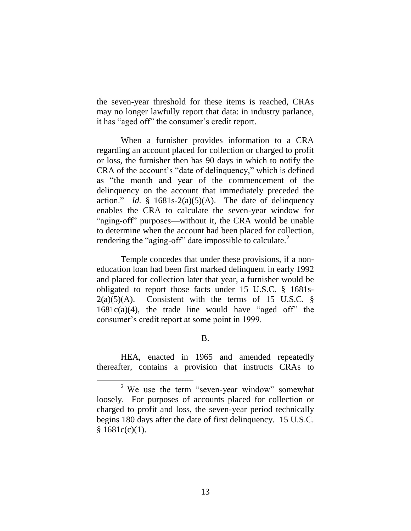the seven-year threshold for these items is reached, CRAs may no longer lawfully report that data: in industry parlance, it has "aged off" the consumer's credit report.

When a furnisher provides information to a CRA regarding an account placed for collection or charged to profit or loss, the furnisher then has 90 days in which to notify the CRA of the account's "date of delinquency," which is defined as "the month and year of the commencement of the delinquency on the account that immediately preceded the action." *Id.*  $\frac{8}{3}$  1681s-2(a)(5)(A). The date of delinquency enables the CRA to calculate the seven-year window for "aging-off" purposes—without it, the CRA would be unable to determine when the account had been placed for collection, rendering the "aging-off" date impossible to calculate. $2^2$ 

Temple concedes that under these provisions, if a noneducation loan had been first marked delinquent in early 1992 and placed for collection later that year, a furnisher would be obligated to report those facts under 15 U.S.C. § 1681s- $2(a)(5)(A)$ . Consistent with the terms of 15 U.S.C. §  $1681c(a)(4)$ , the trade line would have "aged off" the consumer's credit report at some point in 1999.

### B.

HEA, enacted in 1965 and amended repeatedly thereafter, contains a provision that instructs CRAs to

l

<sup>&</sup>lt;sup>2</sup> We use the term "seven-year window" somewhat loosely. For purposes of accounts placed for collection or charged to profit and loss, the seven-year period technically begins 180 days after the date of first delinquency. 15 U.S.C.  $§ 1681c(c)(1).$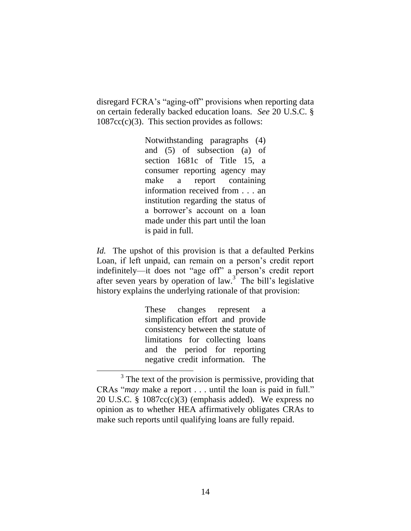disregard FCRA's "aging-off" provisions when reporting data on certain federally backed education loans. *See* 20 U.S.C. §  $1087cc(c)(3)$ . This section provides as follows:

> Notwithstanding paragraphs (4) and (5) of subsection (a) of section 1681c of Title 15, a consumer reporting agency may make a report containing information received from . . . an institution regarding the status of a borrower's account on a loan made under this part until the loan is paid in full.

*Id.* The upshot of this provision is that a defaulted Perkins Loan, if left unpaid, can remain on a person's credit report indefinitely—it does not "age off" a person's credit report after seven years by operation of  $law$ .<sup>3</sup> The bill's legislative history explains the underlying rationale of that provision:

> These changes represent a simplification effort and provide consistency between the statute of limitations for collecting loans and the period for reporting negative credit information. The

l

 $3$  The text of the provision is permissive, providing that CRAs "*may* make a report . . . until the loan is paid in full." 20 U.S.C. § 1087cc(c)(3) (emphasis added). We express no opinion as to whether HEA affirmatively obligates CRAs to make such reports until qualifying loans are fully repaid.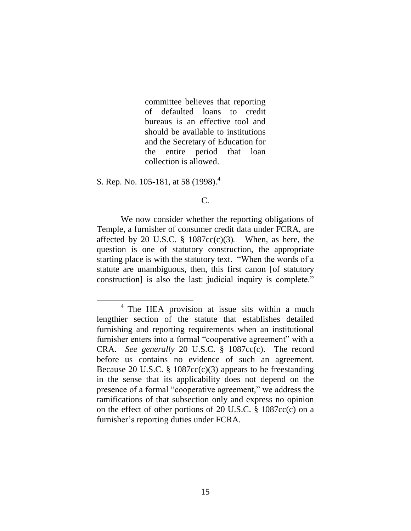committee believes that reporting of defaulted loans to credit bureaus is an effective tool and should be available to institutions and the Secretary of Education for the entire period that loan collection is allowed.

S. Rep. No. 105-181, at 58 (1998).<sup>4</sup>

l

C.

We now consider whether the reporting obligations of Temple, a furnisher of consumer credit data under FCRA, are affected by 20 U.S.C.  $\S$  1087cc(c)(3). When, as here, the question is one of statutory construction, the appropriate starting place is with the statutory text. "When the words of a statute are unambiguous, then, this first canon [of statutory construction] is also the last: judicial inquiry is complete."

<sup>&</sup>lt;sup>4</sup> The HEA provision at issue sits within a much lengthier section of the statute that establishes detailed furnishing and reporting requirements when an institutional furnisher enters into a formal "cooperative agreement" with a CRA. *See generally* 20 U.S.C. § 1087cc(c). The record before us contains no evidence of such an agreement. Because 20 U.S.C. § 1087 $cc(c)(3)$  appears to be freestanding in the sense that its applicability does not depend on the presence of a formal "cooperative agreement," we address the ramifications of that subsection only and express no opinion on the effect of other portions of 20 U.S.C. § 1087cc(c) on a furnisher's reporting duties under FCRA.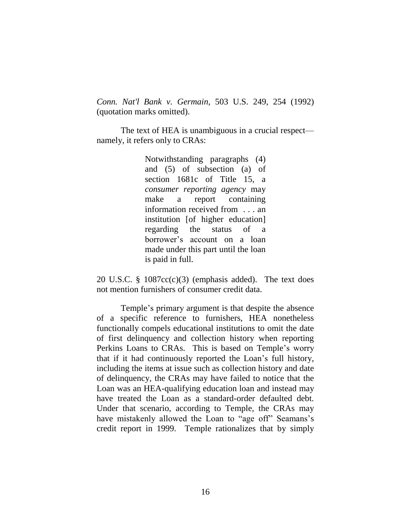*Conn. Nat'l Bank v. Germain*, 503 U.S. 249, 254 (1992) (quotation marks omitted).

The text of HEA is unambiguous in a crucial respect namely, it refers only to CRAs:

> Notwithstanding paragraphs (4) and (5) of subsection (a) of section 1681c of Title 15, a *consumer reporting agency* may make a report containing information received from . . . an institution [of higher education] regarding the status of a borrower's account on a loan made under this part until the loan is paid in full.

20 U.S.C. § 1087cc(c)(3) (emphasis added). The text does not mention furnishers of consumer credit data.

Temple's primary argument is that despite the absence of a specific reference to furnishers, HEA nonetheless functionally compels educational institutions to omit the date of first delinquency and collection history when reporting Perkins Loans to CRAs. This is based on Temple's worry that if it had continuously reported the Loan's full history, including the items at issue such as collection history and date of delinquency, the CRAs may have failed to notice that the Loan was an HEA-qualifying education loan and instead may have treated the Loan as a standard-order defaulted debt. Under that scenario, according to Temple, the CRAs may have mistakenly allowed the Loan to "age off" Seamans's credit report in 1999. Temple rationalizes that by simply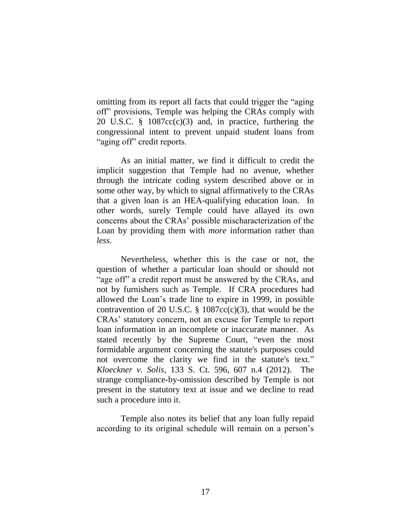omitting from its report all facts that could trigger the "aging off" provisions, Temple was helping the CRAs comply with 20 U.S.C. § 1087cc(c)(3) and, in practice, furthering the congressional intent to prevent unpaid student loans from "aging off" credit reports.

As an initial matter, we find it difficult to credit the implicit suggestion that Temple had no avenue, whether through the intricate coding system described above or in some other way, by which to signal affirmatively to the CRAs that a given loan is an HEA-qualifying education loan. In other words, surely Temple could have allayed its own concerns about the CRAs' possible mischaracterization of the Loan by providing them with *more* information rather than *less*.

Nevertheless, whether this is the case or not, the question of whether a particular loan should or should not "age off" a credit report must be answered by the CRAs, and not by furnishers such as Temple. If CRA procedures had allowed the Loan's trade line to expire in 1999, in possible contravention of 20 U.S.C.  $\S$  1087cc(c)(3), that would be the CRAs' statutory concern, not an excuse for Temple to report loan information in an incomplete or inaccurate manner. As stated recently by the Supreme Court, "even the most formidable argument concerning the statute's purposes could not overcome the clarity we find in the statute's text." *Kloeckner v. Solis*, 133 S. Ct. 596, 607 n.4 (2012). The strange compliance-by-omission described by Temple is not present in the statutory text at issue and we decline to read such a procedure into it.

Temple also notes its belief that any loan fully repaid according to its original schedule will remain on a person's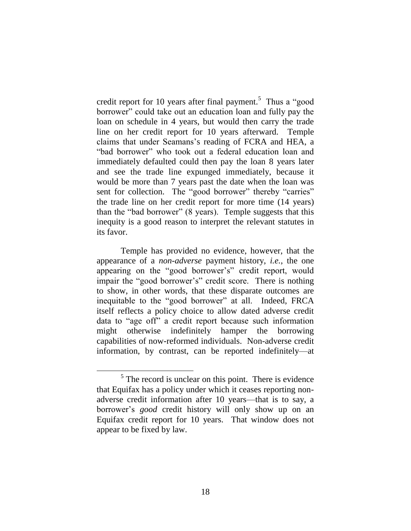credit report for 10 years after final payment.<sup>5</sup> Thus a "good borrower" could take out an education loan and fully pay the loan on schedule in 4 years, but would then carry the trade line on her credit report for 10 years afterward. Temple claims that under Seamans's reading of FCRA and HEA, a "bad borrower" who took out a federal education loan and immediately defaulted could then pay the loan 8 years later and see the trade line expunged immediately, because it would be more than 7 years past the date when the loan was sent for collection. The "good borrower" thereby "carries" the trade line on her credit report for more time (14 years) than the "bad borrower" (8 years). Temple suggests that this inequity is a good reason to interpret the relevant statutes in its favor.

Temple has provided no evidence, however, that the appearance of a *non-adverse* payment history, *i.e.*, the one appearing on the "good borrower's" credit report, would impair the "good borrower's" credit score. There is nothing to show, in other words, that these disparate outcomes are inequitable to the "good borrower" at all. Indeed, FRCA itself reflects a policy choice to allow dated adverse credit data to "age off" a credit report because such information might otherwise indefinitely hamper the borrowing capabilities of now-reformed individuals. Non-adverse credit information, by contrast, can be reported indefinitely—at

l

 $<sup>5</sup>$  The record is unclear on this point. There is evidence</sup> that Equifax has a policy under which it ceases reporting nonadverse credit information after 10 years—that is to say, a borrower's *good* credit history will only show up on an Equifax credit report for 10 years. That window does not appear to be fixed by law.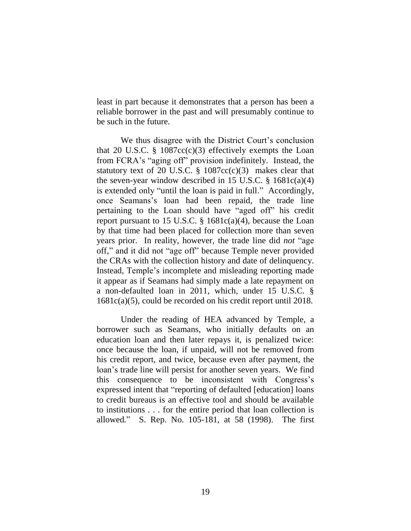least in part because it demonstrates that a person has been a reliable borrower in the past and will presumably continue to be such in the future.

We thus disagree with the District Court's conclusion that 20 U.S.C.  $\S$  1087cc(c)(3) effectively exempts the Loan from FCRA's "aging off" provision indefinitely. Instead, the statutory text of 20 U.S.C.  $\S$  1087cc(c)(3) makes clear that the seven-year window described in 15 U.S.C.  $\S$  1681c(a)(4) is extended only "until the loan is paid in full." Accordingly, once Seamans's loan had been repaid, the trade line pertaining to the Loan should have "aged off" his credit report pursuant to 15 U.S.C.  $\S$  1681c(a)(4), because the Loan by that time had been placed for collection more than seven years prior. In reality, however, the trade line did *not* "age off," and it did not "age off" because Temple never provided the CRAs with the collection history and date of delinquency. Instead, Temple's incomplete and misleading reporting made it appear as if Seamans had simply made a late repayment on a non-defaulted loan in 2011, which, under 15 U.S.C. § 1681c(a)(5), could be recorded on his credit report until 2018.

Under the reading of HEA advanced by Temple, a borrower such as Seamans, who initially defaults on an education loan and then later repays it, is penalized twice: once because the loan, if unpaid, will not be removed from his credit report, and twice, because even after payment, the loan's trade line will persist for another seven years. We find this consequence to be inconsistent with Congress's expressed intent that "reporting of defaulted [education] loans to credit bureaus is an effective tool and should be available to institutions . . . for the entire period that loan collection is allowed*.*" S. Rep. No. 105-181, at 58 (1998). The first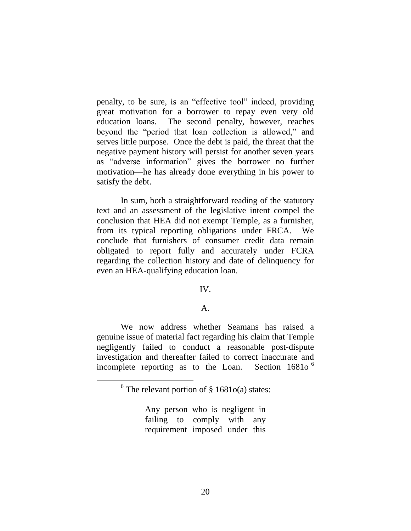penalty, to be sure, is an "effective tool" indeed, providing great motivation for a borrower to repay even very old education loans. The second penalty, however, reaches beyond the "period that loan collection is allowed," and serves little purpose. Once the debt is paid, the threat that the negative payment history will persist for another seven years as "adverse information" gives the borrower no further motivation—he has already done everything in his power to satisfy the debt.

In sum, both a straightforward reading of the statutory text and an assessment of the legislative intent compel the conclusion that HEA did not exempt Temple, as a furnisher, from its typical reporting obligations under FRCA. We conclude that furnishers of consumer credit data remain obligated to report fully and accurately under FCRA regarding the collection history and date of delinquency for even an HEA-qualifying education loan.

## IV.

### $A<sub>1</sub>$

We now address whether Seamans has raised a genuine issue of material fact regarding his claim that Temple negligently failed to conduct a reasonable post-dispute investigation and thereafter failed to correct inaccurate and incomplete reporting as to the Loan. Section  $16810^{\circ}$ 

l

Any person who is negligent in failing to comply with any requirement imposed under this

 $6$  The relevant portion of  $\S$  1681o(a) states: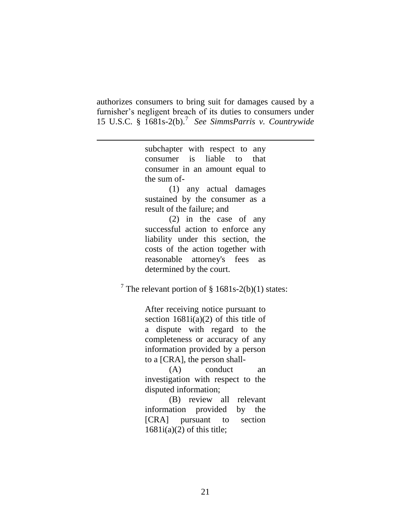authorizes consumers to bring suit for damages caused by a furnisher's negligent breach of its duties to consumers under 15 U.S.C. § 1681s-2(b). 7 *See SimmsParris v. Countrywide* 

> subchapter with respect to any consumer is liable to that consumer in an amount equal to the sum of-

l

(1) any actual damages sustained by the consumer as a result of the failure; and

(2) in the case of any successful action to enforce any liability under this section, the costs of the action together with reasonable attorney's fees as determined by the court.

<sup>7</sup> The relevant portion of § 1681s-2(b)(1) states:

After receiving notice pursuant to section  $1681i(a)(2)$  of this title of a dispute with regard to the completeness or accuracy of any information provided by a person to a [CRA], the person shall-

(A) conduct an investigation with respect to the disputed information;

(B) review all relevant information provided by the [CRA] pursuant to section  $1681i(a)(2)$  of this title;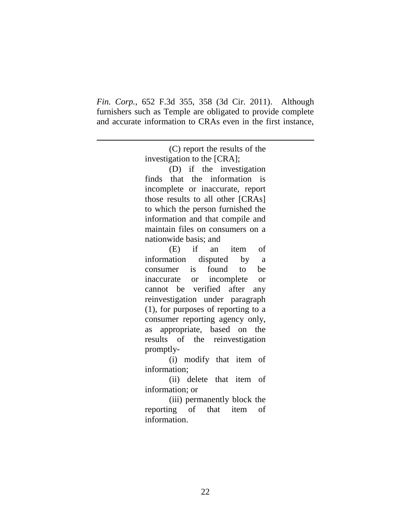*Fin. Corp.*, 652 F.3d 355, 358 (3d Cir. 2011). Although furnishers such as Temple are obligated to provide complete and accurate information to CRAs even in the first instance,

l

(C) report the results of the investigation to the [CRA]; (D) if the investigation finds that the information is incomplete or inaccurate, report those results to all other [CRAs] to which the person furnished the information and that compile and maintain files on consumers on a nationwide basis; and (E) if an item of information disputed by a consumer is found to be inaccurate or incomplete or cannot be verified after any reinvestigation under paragraph (1), for purposes of reporting to a consumer reporting agency only, as appropriate, based on the results of the reinvestigation promptly-

(i) modify that item of information;

(ii) delete that item of information; or

(iii) permanently block the reporting of that item of information.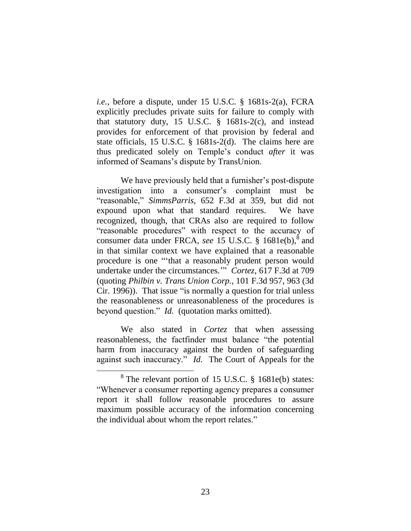*i.e.*, before a dispute, under 15 U.S.C. § 1681s-2(a), FCRA explicitly precludes private suits for failure to comply with that statutory duty, 15 U.S.C. § 1681s-2(c), and instead provides for enforcement of that provision by federal and state officials, 15 U.S.C. § 1681s-2(d). The claims here are thus predicated solely on Temple's conduct *after* it was informed of Seamans's dispute by TransUnion.

We have previously held that a furnisher's post-dispute investigation into a consumer's complaint must be "reasonable," *SimmsParris*, 652 F.3d at 359, but did not expound upon what that standard requires. We have recognized, though, that CRAs also are required to follow "reasonable procedures" with respect to the accuracy of consumer data under FRCA, see 15 U.S.C. § 1681e(b),<sup>8</sup> and in that similar context we have explained that a reasonable procedure is one "'that a reasonably prudent person would undertake under the circumstances.'" *Cortez,* 617 F.3d at 709 (quoting *Philbin v. Trans Union Corp.*, 101 F.3d 957, 963 (3d Cir. 1996)). That issue "is normally a question for trial unless the reasonableness or unreasonableness of the procedures is beyond question." *Id.* (quotation marks omitted).

We also stated in *Cortez* that when assessing reasonableness, the factfinder must balance "the potential harm from inaccuracy against the burden of safeguarding against such inaccuracy." *Id.* The Court of Appeals for the

l

 $8$  The relevant portion of 15 U.S.C.  $§$  1681e(b) states: "Whenever a consumer reporting agency prepares a consumer report it shall follow reasonable procedures to assure maximum possible accuracy of the information concerning the individual about whom the report relates."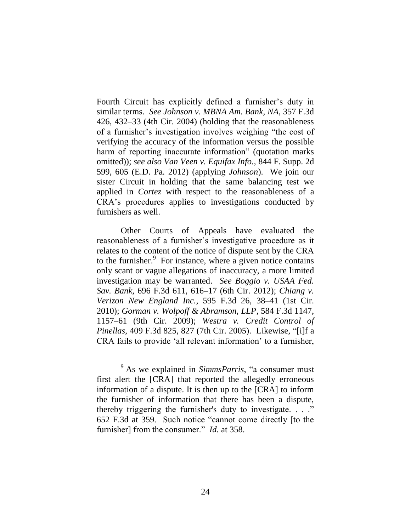Fourth Circuit has explicitly defined a furnisher's duty in similar terms. *See Johnson v. MBNA Am. Bank, NA*, 357 F.3d 426, 432–33 (4th Cir. 2004) (holding that the reasonableness of a furnisher's investigation involves weighing "the cost of verifying the accuracy of the information versus the possible harm of reporting inaccurate information" (quotation marks omitted)); *see also Van Veen v. Equifax Info.*, 844 F. Supp. 2d 599, 605 (E.D. Pa. 2012) (applying *Johnson*). We join our sister Circuit in holding that the same balancing test we applied in *Cortez* with respect to the reasonableness of a CRA's procedures applies to investigations conducted by furnishers as well.

Other Courts of Appeals have evaluated the reasonableness of a furnisher's investigative procedure as it relates to the content of the notice of dispute sent by the CRA to the furnisher. 9 For instance, where a given notice contains only scant or vague allegations of inaccuracy, a more limited investigation may be warranted. *See Boggio v. USAA Fed. Sav. Bank*, 696 F.3d 611, 616–17 (6th Cir. 2012); *Chiang v. Verizon New England Inc.*, 595 F.3d 26, 38–41 (1st Cir. 2010); *Gorman v. Wolpoff & Abramson, LLP*, 584 F.3d 1147, 1157–61 (9th Cir. 2009); *Westra v. Credit Control of Pinellas*, 409 F.3d 825, 827 (7th Cir. 2005). Likewise, "[i]f a CRA fails to provide 'all relevant information' to a furnisher,

 $\overline{a}$ 

<sup>9</sup> As we explained in *SimmsParris*, "a consumer must first alert the [CRA] that reported the allegedly erroneous information of a dispute. It is then up to the [CRA] to inform the furnisher of information that there has been a dispute, thereby triggering the furnisher's duty to investigate. . . ." 652 F.3d at 359. Such notice "cannot come directly [to the furnisher] from the consumer." *Id.* at 358.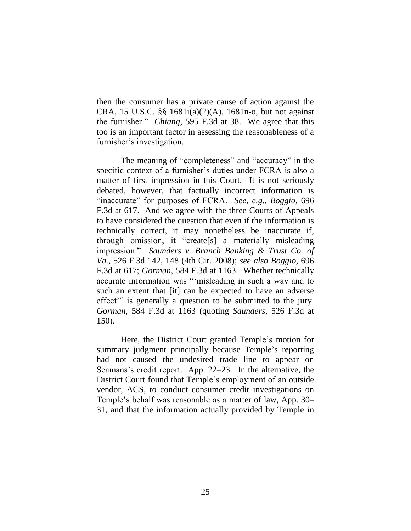then the consumer has a private cause of action against the CRA, 15 U.S.C. §§ 1681i(a)(2)(A), 1681n-o, but not against the furnisher." *Chiang*, 595 F.3d at 38. We agree that this too is an important factor in assessing the reasonableness of a furnisher's investigation.

The meaning of "completeness" and "accuracy" in the specific context of a furnisher's duties under FCRA is also a matter of first impression in this Court. It is not seriously debated, however, that factually incorrect information is "inaccurate" for purposes of FCRA. *See, e.g.*, *Boggio*, 696 F.3d at 617. And we agree with the three Courts of Appeals to have considered the question that even if the information is technically correct, it may nonetheless be inaccurate if, through omission, it "create[s] a materially misleading impression." *Saunders v. Branch Banking & Trust Co. of Va.*, 526 F.3d 142, 148 (4th Cir. 2008); *see also Boggio*, 696 F.3d at 617; *Gorman*, 584 F.3d at 1163. Whether technically accurate information was "'misleading in such a way and to such an extent that [it] can be expected to have an adverse effect'" is generally a question to be submitted to the jury. *Gorman*, 584 F.3d at 1163 (quoting *Saunders*, 526 F.3d at 150).

Here, the District Court granted Temple's motion for summary judgment principally because Temple's reporting had not caused the undesired trade line to appear on Seamans's credit report. App. 22–23. In the alternative, the District Court found that Temple's employment of an outside vendor, ACS, to conduct consumer credit investigations on Temple's behalf was reasonable as a matter of law, App. 30– 31, and that the information actually provided by Temple in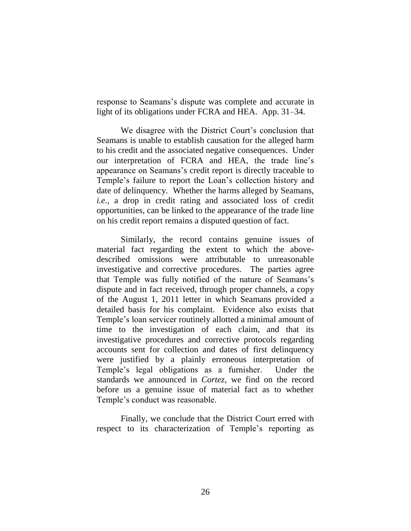response to Seamans's dispute was complete and accurate in light of its obligations under FCRA and HEA. App. 31–34.

We disagree with the District Court's conclusion that Seamans is unable to establish causation for the alleged harm to his credit and the associated negative consequences. Under our interpretation of FCRA and HEA, the trade line's appearance on Seamans's credit report is directly traceable to Temple's failure to report the Loan's collection history and date of delinquency. Whether the harms alleged by Seamans, *i.e.*, a drop in credit rating and associated loss of credit opportunities, can be linked to the appearance of the trade line on his credit report remains a disputed question of fact.

Similarly, the record contains genuine issues of material fact regarding the extent to which the abovedescribed omissions were attributable to unreasonable investigative and corrective procedures. The parties agree that Temple was fully notified of the nature of Seamans's dispute and in fact received, through proper channels, a copy of the August 1, 2011 letter in which Seamans provided a detailed basis for his complaint. Evidence also exists that Temple's loan servicer routinely allotted a minimal amount of time to the investigation of each claim, and that its investigative procedures and corrective protocols regarding accounts sent for collection and dates of first delinquency were justified by a plainly erroneous interpretation of Temple's legal obligations as a furnisher. Under the standards we announced in *Cortez*, we find on the record before us a genuine issue of material fact as to whether Temple's conduct was reasonable.

Finally, we conclude that the District Court erred with respect to its characterization of Temple's reporting as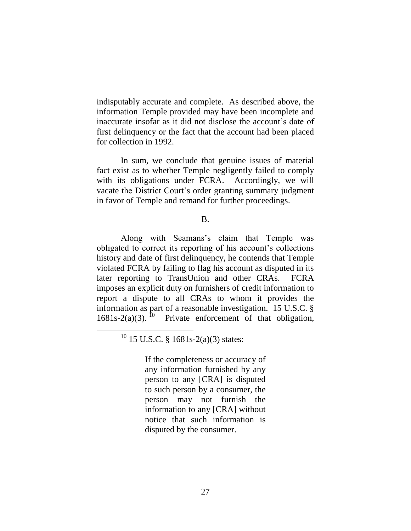indisputably accurate and complete. As described above, the information Temple provided may have been incomplete and inaccurate insofar as it did not disclose the account's date of first delinquency or the fact that the account had been placed for collection in 1992.

In sum, we conclude that genuine issues of material fact exist as to whether Temple negligently failed to comply with its obligations under FCRA. Accordingly, we will vacate the District Court's order granting summary judgment in favor of Temple and remand for further proceedings.

B.

Along with Seamans's claim that Temple was obligated to correct its reporting of his account's collections history and date of first delinquency, he contends that Temple violated FCRA by failing to flag his account as disputed in its later reporting to TransUnion and other CRAs. FCRA imposes an explicit duty on furnishers of credit information to report a dispute to all CRAs to whom it provides the information as part of a reasonable investigation. 15 U.S.C. § 1681s-2(a)(3).<sup>10</sup> Private enforcement of that obligation,

 $10$  15 U.S.C. § 1681s-2(a)(3) states:

 $\overline{a}$ 

If the completeness or accuracy of any information furnished by any person to any [CRA] is disputed to such person by a consumer, the person may not furnish the information to any [CRA] without notice that such information is disputed by the consumer.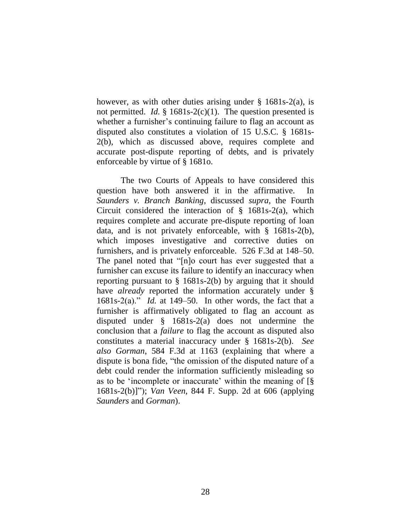however, as with other duties arising under  $\S$  1681s-2(a), is not permitted. *Id.* § 1681s-2(c)(1). The question presented is whether a furnisher's continuing failure to flag an account as disputed also constitutes a violation of 15 U.S.C. § 1681s-2(b), which as discussed above, requires complete and accurate post-dispute reporting of debts, and is privately enforceable by virtue of § 1681o.

The two Courts of Appeals to have considered this question have both answered it in the affirmative. In *Saunders v. Branch Banking*, discussed *supra*, the Fourth Circuit considered the interaction of  $\S$  1681s-2(a), which requires complete and accurate pre-dispute reporting of loan data, and is not privately enforceable, with § 1681s-2(b), which imposes investigative and corrective duties on furnishers, and is privately enforceable. 526 F.3d at 148–50. The panel noted that "[n]o court has ever suggested that a furnisher can excuse its failure to identify an inaccuracy when reporting pursuant to § 1681s-2(b) by arguing that it should have *already* reported the information accurately under § 1681s-2(a)." *Id.* at 149–50. In other words, the fact that a furnisher is affirmatively obligated to flag an account as disputed under § 1681s-2(a) does not undermine the conclusion that a *failure* to flag the account as disputed also constitutes a material inaccuracy under § 1681s-2(b). *See also Gorman*, 584 F.3d at 1163 (explaining that where a dispute is bona fide, "the omission of the disputed nature of a debt could render the information sufficiently misleading so as to be 'incomplete or inaccurate' within the meaning of [§ 1681s-2(b)]"); *Van Veen*, 844 F. Supp. 2d at 606 (applying *Saunders* and *Gorman*).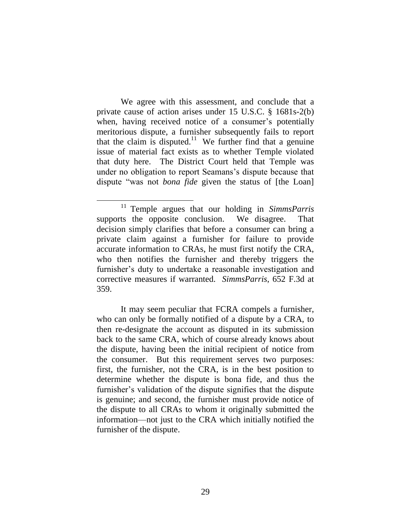We agree with this assessment, and conclude that a private cause of action arises under 15 U.S.C. § 1681s-2(b) when, having received notice of a consumer's potentially meritorious dispute, a furnisher subsequently fails to report that the claim is disputed.<sup>11</sup> We further find that a genuine issue of material fact exists as to whether Temple violated that duty here. The District Court held that Temple was under no obligation to report Seamans's dispute because that dispute "was not *bona fide* given the status of [the Loan]

 $\overline{a}$ 

It may seem peculiar that FCRA compels a furnisher, who can only be formally notified of a dispute by a CRA, to then re-designate the account as disputed in its submission back to the same CRA, which of course already knows about the dispute, having been the initial recipient of notice from the consumer. But this requirement serves two purposes: first, the furnisher, not the CRA, is in the best position to determine whether the dispute is bona fide, and thus the furnisher's validation of the dispute signifies that the dispute is genuine; and second, the furnisher must provide notice of the dispute to all CRAs to whom it originally submitted the information—not just to the CRA which initially notified the furnisher of the dispute.

<sup>11</sup> Temple argues that our holding in *SimmsParris* supports the opposite conclusion. We disagree. That decision simply clarifies that before a consumer can bring a private claim against a furnisher for failure to provide accurate information to CRAs, he must first notify the CRA, who then notifies the furnisher and thereby triggers the furnisher's duty to undertake a reasonable investigation and corrective measures if warranted. *SimmsParris*, 652 F.3d at 359.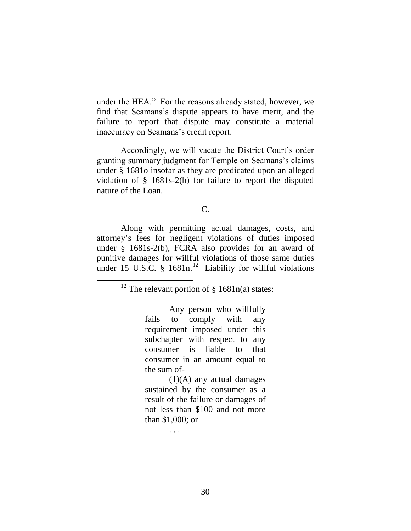under the HEA." For the reasons already stated, however, we find that Seamans's dispute appears to have merit, and the failure to report that dispute may constitute a material inaccuracy on Seamans's credit report.

Accordingly, we will vacate the District Court's order granting summary judgment for Temple on Seamans's claims under § 1681o insofar as they are predicated upon an alleged violation of § 1681s-2(b) for failure to report the disputed nature of the Loan.

## C.

Along with permitting actual damages, costs, and attorney's fees for negligent violations of duties imposed under § 1681s-2(b), FCRA also provides for an award of punitive damages for willful violations of those same duties under 15 U.S.C.  $\frac{1}{5}$  1681n.<sup>12</sup> Liability for willful violations

<sup>12</sup> The relevant portion of  $\S$  1681n(a) states:

 $\overline{a}$ 

Any person who willfully fails to comply with any requirement imposed under this subchapter with respect to any consumer is liable to that consumer in an amount equal to the sum of-

 $(1)(A)$  any actual damages sustained by the consumer as a result of the failure or damages of not less than \$100 and not more than \$1,000; or

. . .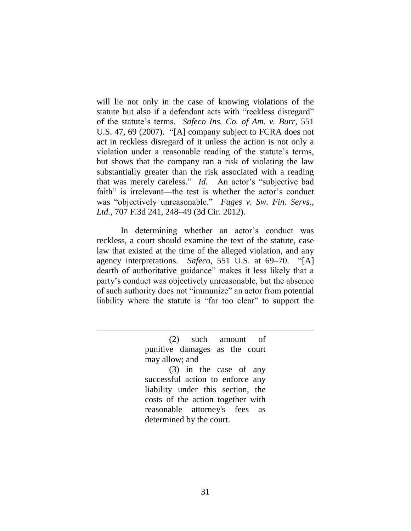will lie not only in the case of knowing violations of the statute but also if a defendant acts with "reckless disregard" of the statute's terms. *Safeco Ins. Co. of Am. v. Burr*, 551 U.S. 47, 69 (2007). "[A] company subject to FCRA does not act in reckless disregard of it unless the action is not only a violation under a reasonable reading of the statute's terms, but shows that the company ran a risk of violating the law substantially greater than the risk associated with a reading that was merely careless." *Id.* An actor's "subjective bad faith" is irrelevant—the test is whether the actor's conduct was "objectively unreasonable." *Fuges v. Sw. Fin. Servs., Ltd.*, 707 F.3d 241, 248–49 (3d Cir. 2012).

In determining whether an actor's conduct was reckless, a court should examine the text of the statute, case law that existed at the time of the alleged violation, and any agency interpretations. *Safeco*, 551 U.S. at 69–70. "[A] dearth of authoritative guidance" makes it less likely that a party's conduct was objectively unreasonable, but the absence of such authority does not "immunize" an actor from potential liability where the statute is "far too clear" to support the

> (2) such amount of punitive damages as the court may allow; and

 $\overline{a}$ 

(3) in the case of any successful action to enforce any liability under this section, the costs of the action together with reasonable attorney's fees as determined by the court.

31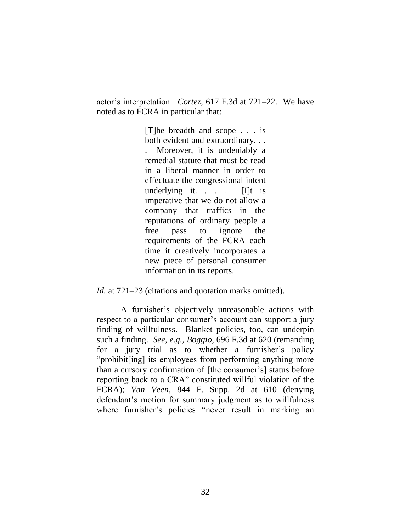actor's interpretation. *Cortez,* 617 F.3d at 721–22. We have noted as to FCRA in particular that:

> [T]he breadth and scope . . . is both evident and extraordinary. . . . Moreover, it is undeniably a remedial statute that must be read in a liberal manner in order to effectuate the congressional intent underlying it. . . . [I]t is imperative that we do not allow a company that traffics in the reputations of ordinary people a free pass to ignore the requirements of the FCRA each time it creatively incorporates a new piece of personal consumer information in its reports.

*Id.* at 721–23 (citations and quotation marks omitted).

A furnisher's objectively unreasonable actions with respect to a particular consumer's account can support a jury finding of willfulness. Blanket policies, too, can underpin such a finding. *See, e.g.*, *Boggio*, 696 F.3d at 620 (remanding for a jury trial as to whether a furnisher's policy "prohibit[ing] its employees from performing anything more than a cursory confirmation of [the consumer's] status before reporting back to a CRA" constituted willful violation of the FCRA); *Van Veen*, 844 F. Supp. 2d at 610 (denying defendant's motion for summary judgment as to willfulness where furnisher's policies "never result in marking an